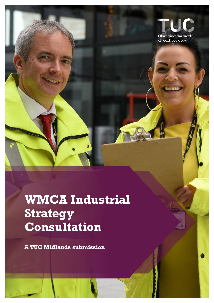

# **WMCA Industrial Strategy Consultation**

**A TUC Midlands submission**

**LANGE**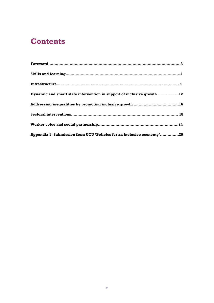# **Contents**

| Dynamic and smart state intervention in support of inclusive growth 12 |  |
|------------------------------------------------------------------------|--|
| Addressing inequalities by promoting inclusive growth 16               |  |
|                                                                        |  |
|                                                                        |  |
| Appendix 1: Submission from UCU 'Policies for an inclusive economy'29  |  |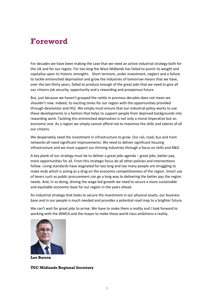# **Foreword**

For decades we have been making the case that we need an active industrial strategy both for the UK and for our region. For too long the West Midlands has failed to punch its weight and capitalise upon its historic strengths. Short termism, under investment, neglect and a failure to tackle entrenched deprivation and grow the industries of tomorrow means that we have, over the last thirty years, failed to produce enough of the great jobs that we need to give all our citizens job security, opportunity and a rewarding and prosperous future.

But, just because we haven't grasped the nettle in previous decades does not mean we shouldn't now. Indeed, its exciting times for our region with the opportunities provided through devolution and HS2. We simply must ensure that our industrial policy works to use these developments in a fashion that helps to support people from deprived backgrounds into rewarding work. Tackling this entrenched deprivation is not only a moral imperative but an economic one. As a region we simply cannot afford not to maximise the skills and talents of all our citizens.

We desperately need the investment in infrastructure to grow. Our rail, road, bus and tram networks all need significant improvements. We need to deliver significant housing infrastructure and we must support our thriving industries through a focus on skills and R&D.

A key plank of our strategy must be to deliver a great jobs agenda – great jobs, better pay, more opportunities for all. From this strategic focus do all other policies and interventions follow. Living standards have stagnated for too long and too many people are struggling to make ends which is acting as a drag on the economic competitiveness of the region. Smart use of levers such as public procurement can go a long way to delivering the better pay the region needs. And, in so doing, driving the wage-led growth we need to secure a more sustainable and equitable economic base for our region in the years ahead.

An industrial strategy that looks to secure the investment in our physical assets, our business base and in our people is much needed and provides a potential road map to a brighter future.

We can't wait for great jobs to arrive. We have to make them a reality and I look forward to working with the WMCA and the mayor to make these world class ambitions a reality.



**Lee Barron**

**TUC Midlands Regional Secretary**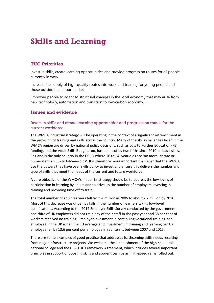# **Skills and Learning**

# **TUC Priorities**

Invest in skills, create learning opportunities and provide progression routes for all people currently in work

Increase the supply of high-quality routes into work and training for young people and those outside the labour market

Empower people to adapt to structural changes in the local economy that may arise from new technology, automation and transition to low-carbon economy.

# **Issues and evidence**

#### Invest in skills and create learning opportunities and progression routes for the current workforce

The WMCA industrial strategy will be operating in the context of a significant retrenchment in the provision of training and skills across the country. Many of the skills challenges faced in the WMCA region are driven by national policy decisions, such as cuts to Further Education (FE) funding, and the Adult Skills Budget, too, has been cut by two fifths since 2010. In basic skills, England is the only country in the OECD where 16 to 24–year olds are 'no more literate or numerate than 55- to 64-year-olds'. It is therefore more important than ever that the WMCA use the powers they have over skills policy to invest and ensure this delivers the number and type of skills that meet the needs of the current and future workforce.

A core objective of the WMCA's industrial strategy should be to address the low levels of participation in learning by adults and to drive up the number of employers investing in training and providing time off to train.

The total number of adult learners fell from 4 million in 2005 to about 2.2 million by 2016. Most of this decrease was driven by falls in the number of learners taking low-level qualifications. According to the 2017 Employer Skills Survey conducted by the government, one third of UK employers did not train any of their staff in the past year and 38 per cent of workers received no training. Employer investment in continuing vocational training per employee in the UK is half the EU average and investment in training and learning per UK employee fell by 13.6 per cent per employee in real-terms between 2007 and 2015.

There are some examples of good practice that addresses forthcoming skills needs resulting from major infrastructure projects. We welcome the establishment of the high-speed rail national college and the HS2-TUC Framework Agreement, which includes several important principles in support of boosting skills and apprenticeships as high-speed rail is rolled out.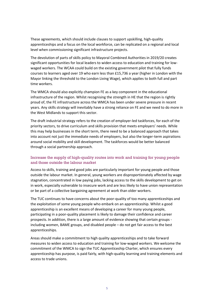These agreements, which should include clauses to support upskilling, high-quality apprenticeships and a focus on the local workforce, can be replicated on a regional and local level when commissioning significant infrastructure projects.

The devolution of parts of skills policy to Mayoral Combined Authorities in 2019/20 creates significant opportunities for local leaders to widen access to education and training for lowwaged workers. The WCAA could build on the existing government pilot that fully funds courses to learners aged over 19 who earn less than £15,736 a year (higher in London with the Mayor linking the threshold to the London Living Wage), which applies to both full and part time workers.

The WMCA should also explicitly champion FE as a key component in the educational infrastructure of the region. Whilst recognising the strength in HE that the region is rightly proud of, the FE infrastructure across the WMCA has been under severe pressure in recent years. Any skills strategy will inevitably have a strong reliance on FE and we need to do more in the West Midlands to support this sector.

The draft industrial strategy refers to the creation of employer-led taskforces, for each of the priority sectors, to drive curriculum and skills provision that meets employers' needs. While this may help businesses in the short term, there need to be a balanced approach that takes into account not just the immediate needs of employers, but also the longer-term aspirations around social mobility and skill development. The taskforces would be better balanced through a social partnership approach.

### Increase the supply of high-quality routes into work and training for young people and those outside the labour market

Access to skills, training and good jobs are particularly important for young people and those outside the labour market. In general, young workers are disproportionately affected by wage stagnation, concentrated in low paying jobs, lacking access to the skills development to get on in work, especially vulnerable to insecure work and are less likely to have union representation or be part of a collective bargaining agreement at work than older workers.

The TUC continues to have concerns about the poor-quality of too many apprenticeships and the exploitation of some young people who embark on an apprenticeship. Whilst a good apprenticeship is an excellent means of developing a career for many young people, participating in a poor-quality placement is likely to damage their confidence and career prospects. In addition, there is a large amount of evidence showing that certain groups including women, BAME groups, and disabled people – do not get fair access to the best apprenticeships.

Areas should make a commitment to high quality apprenticeships and to take forward measures to widen access to education and training for low-waged workers. We welcome the commitment of the WMCA to sign the TUC Apprenticeship Charter, which ensures every apprenticeship has purpose, is paid fairly, with high-quality learning and training elements and access to trade unions.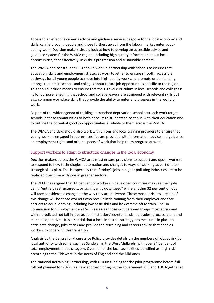Access to an effective career's advice and guidance service, bespoke to the local economy and skills, can help young people and those furthest away from the labour market enter goodquality work. Decision makers should look at how to develop an accessible advice and guidance system for the WMCA region, including high quality information about local opportunities, that effectively links skills progression and sustainable careers.

The WMCA and constituent LEPs should work in partnership with schools to ensure that education, skills and employment strategies work together to ensure smooth, accessible pathways for all young people to move into high-quality work and promote understanding among students in schools and colleges about future job opportunities specific to the region. This should include means to ensure that the T-Level curriculum in local schools and colleges is fit for purpose, ensuring that school and college leavers are equipped with relevant skills but also common workplace skills that provide the ability to enter and progress in the world of work.

As part of the wider agenda of tackling entrenched deprivation school outreach work target schools in these communities to both encourage students to continue with their education and to outline the potential good job opportunities available to them across the WMCA.

The WMCA and LEPs should also work with unions and local training providers to ensure that young workers engaged in apprenticeships are provided with information, advice and guidance on employment rights and other aspects of work that help them progress at work.

#### Support workers to adapt to structural changes in the local economy

Decision makers across the WMCA area must ensure provisions to support and upskill workers to respond to new technologies, automation and changes to ways of working as part of their strategic skills plan. This is especially true if today's jobs in higher polluting industries are to be replaced over time with jobs in greener sectors.

The OECD has argued that 14 per cent of workers in developed countries may see their jobs being "entirely restructured … or significantly downsized" while another 32 per cent of jobs will face considerable change in the way they are delivered. Those most at risk as a result of this change will be those workers who receive little training from their employer and face barriers to adult learning, including low basic skills and lack of time off to train. The UK Commission for Employment and Skills assesses those occupational groups most at risk and with a predicted net fall in jobs as administration/secretarial, skilled trades, process, plant and machine operatives. It is essential that a local industrial strategy has measures in place to anticipate change, jobs at risk and provide the retraining and careers advice that enables workers to cope with this transition.

Analysis by the Centre for Progressive Policy provides details on the numbers of jobs at risk by local authority with some, such as Sandwell in the West Midlands, with over 34 per cent of total employment in this category. Over half of the local authorities identified as 'high risk' according to the CPP were in the north of England and the Midlands.

The National Retraining Partnership, with £100m funding for the pilot programme before full roll out planned for 2022, is a new approach bringing the government, CBI and TUC together at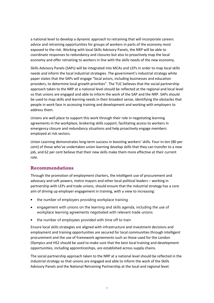a national level to develop a dynamic approach to retraining that will incorporate careers advice and retraining opportunities for groups of workers in parts of the economy most exposed to the risk. Working with local Skills Advisory Panels, the NRP will be able to coordinate responses to redundancy and closures but also to proactively map the local economy and offer retraining to workers in line with the skills needs of the new economy.

Skills Advisory Panels (SAPs) will be integrated into MCAs and LEPs in order to map local skills needs and inform the local industrial strategies. The government's industrial strategy white paper states that the SAPs will engage "local actors, including businesses and education providers, to determine local growth priorities". The TUC believes that the social partnership approach taken to the NRP at a national level should be reflected at the regional and local level so that unions are engaged and able to inform the work of the SAP and the NRP. SAPs should be used to map skills and learning needs in their broadest sense, identifying the obstacles that people in work face in accessing training and development and working with employers to address them.

Unions are well place to support this work through their role in negotiating learning agreements in the workplace, brokering skills support, facilitating access to workers in emergency closure and redundancy situations and help proactively engage members employed at risk sectors.

Union Learning demonstrates long-term success in boosting workers' skills. Four-in-ten (80 per cent) of those who've undertaken union learning develop skills that they can transfer to a new job, and 62 per cent believe that their new skills make them more effective at their current role.

# **Recommendations**

Through the promotion of employment charters, the intelligent use of procurement and advocacy and soft powers, metro mayors and other local political leaders – working in partnership with LEPs and trade unions, should ensure that the industrial strategy has a core aim of driving up employer engagement in training, with a view to increasing:

- the number of employers providing workplace training
- engagement with unions on the learning and skills agenda, including the use of workplace learning agreements negotiated with relevant trade unions
- the number of employees provided with time off to train

Ensure local skills strategies are aligned with infrastructure and investment decisions and employment and training opportunities are secured for local communities through intelligent procurement and the use of framework agreements such as those used for the London Olympics and HS2 should be used to make sure that the best local training and development opportunities, including apprenticeships, are established across supply chains.

The social partnership approach taken to the NRP at a national level should be reflected in the industrial strategy so that unions are engaged and able to inform the work of the Skills Advisory Panels and the National Retraining Partnership at the local and regional level.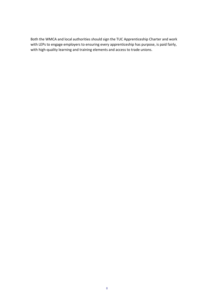Both the WMCA and local authorities should sign the TUC Apprenticeship Charter and work with LEPs to engage employers to ensuring every apprenticeship has purpose, is paid fairly, with high-quality learning and training elements and access to trade unions.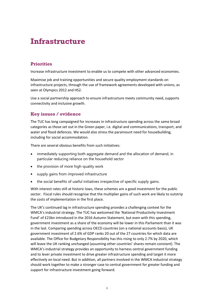# **Infrastructure**

# **Priorities**

Increase infrastructure investment to enable us to compete with other advanced economies.

Maximise job and training opportunities and secure quality employment standards on infrastructure projects, through the use of framework agreements developed with unions, as seen at Olympics 2012 and HS2.

Use a social partnership approach to ensure infrastructure meets community need, supports connectivity and inclusive growth.

# **Key issues / evidence**

The TUC has long campaigned for increases in infrastructure spending across the same broad categories as those set out in the Green paper, i.e. digital and communications, transport, and water and flood defences. We would also stress the paramount need for housebuilding, including for social accommodation.

There are several obvious benefits from such initiatives:

- immediately supporting both aggregate demand and the allocation of demand, in particular reducing reliance on the household sector
- the provision of more high-quality work
- supply gains from improved infrastructure
- the social benefits of useful initiatives irrespective of specific supply gains.

With interest rates still at historic lows, these schemes are a good investment for the public sector. Fiscal rules should recognise that the multiplier gains of such work are likely to outstrip the costs of implementation in the first place.

The UK's continued lag in infrastructure spending provides a challenging context for the WMCA's industrial strategy. The TUC has welcomed the 'National Productivity Investment Fund' of £23bn introduced in the 2016 Autumn Statement, but even with this spending, government investment as a share of the economy will be lower in this Parliament than it was in the last. Comparing spending across OECD countries (on a national accounts basis), UK government investment of 2.6% of GDP ranks 20 out of the 27 countries for which data are available. The Office for Budgetary Responsibility has this rising to only 2.7% by 2020, which will leave the UK ranking unchanged (assuming other countries' shares remain constant). The WMCA's industrial strategy provides an opportunity to harness central government funding and to lever private investment to drive greater infrastructure spending and target it more effectively on local need. But in addition, all partners involved in the WMCA industrial strategy should work together to make a stronger case to central government for greater funding and support for infrastructure investment going forward.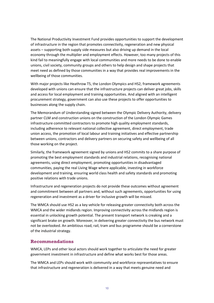The National Productivity Investment Fund provides opportunities to support the development of infrastructure in the region that promotes connectivity, regeneration and new physical assets – supporting both supply side measures but also driving up demand in the local economy through the multiplier and employment effects. However, too many projects of this kind fail to meaningfully engage with local communities and more needs to be done to enable unions, civil society, community groups and others to help design and shape projects that meet need as defined by those communities in a way that provides real improvements in the wellbeing of those communities.

With major projects like Heathrow T5, the London Olympics and HS2, framework agreements developed with unions can ensure that the infrastructure projects can deliver great jobs, skills and access for local employment and training opportunities. And aligned with an intelligent procurement strategy, government can also use these projects to offer opportunities to businesses along the supply chain.

The Memorandum of Understanding signed between the Olympic Delivery Authority, delivery partner CLM and construction unions on the construction of the London Olympic Games infrastructure committed contractors to promote high quality employment standards, including adherence to relevant national collective agreement, direct employment, trade union access, the promotion of local labour and training initiatives and effective partnership between unions, contractors and delivery partners on securing safety and wellbeing of all those working on the project.

Similarly, the framework agreement signed by unions and HS2 commits to a share purpose of promoting the best employment standards and industrial relations, recognising national agreements, using direct employment, promoting opportunities in disadvantaged communities, paying the real Living Wage where applicable, investing in workforce development and training, ensuring world class health and safety standards and promoting positive relations with trade unions.

Infrastructure and regeneration projects do not provide these outcomes without agreement and commitment between all partners and, without such agreements, opportunities for using regeneration and investment as a driver for inclusive growth will be missed.

The WMCA should use HS2 as a key vehicle for releasing greater connectivity both across the WMCA and the wider midlands region. Improving connectivity across the midlands region is essential in unlocking growth potential. The present transport network is creaking and a significant brake on growth. Moreover, in delivering greater connectivity the bus network must not be overlooked. An ambitious road, rail, tram and bus programme should be a cornerstone of the industrial strategy.

#### **Recommendations**

WMCA, LEPs and other local actors should work together to articulate the need for greater government investment in infrastructure and define what works best for those areas.

The WMCA and LEPs should work with community and workforce representatives to ensure that infrastructure and regeneration is delivered in a way that meets genuine need and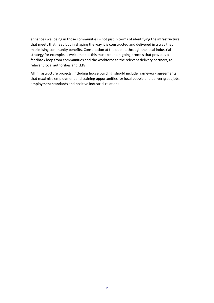enhances wellbeing in those communities – not just in terms of identifying the infrastructure that meets that need but in shaping the way it is constructed and delivered in a way that maximising community benefits. Consultation at the outset, through the local industrial strategy for example, is welcome but this must be an on-going process that provides a feedback loop from communities and the workforce to the relevant delivery partners, to relevant local authorities and LEPs.

All infrastructure projects, including house building, should include framework agreements that maximise employment and training opportunities for local people and deliver great jobs, employment standards and positive industrial relations.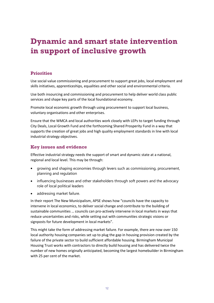# **Dynamic and smart state intervention in support of inclusive growth**

# **Priorities**

Use social value commissioning and procurement to support great jobs, local employment and skills initiatives, apprenticeships, equalities and other social and environmental criteria.

Use both insourcing and commissioning and procurement to help deliver world class public services and shape key parts of the local foundational economy.

Promote local economic growth through using procurement to support local business, voluntary organisations and other enterprises.

Ensure that the WMCA and local authorities work closely with LEPs to target funding through City Deals, Local Growth Fund and the forthcoming Shared Prosperity Fund in a way that supports the creation of great jobs and high quality employment standards in line with local industrial strategy objectives.

# **Key issues and evidence**

Effective industrial strategy needs the support of smart and dynamic state at a national, regional and local level. This may be through:

- growing and shaping economies through levers such as commissioning, procurement, planning and regulation
- influencing businesses and other stakeholders through soft powers and the advocacy role of local political leaders
- addressing market failure.

In their report [The New Municipalism](http://apse.org.uk/apse/assets/File/Taking%20back%20Entrepreneurship%20(screen).pdf), APSE shows how "councils have the capacity to intervene in local economics, to deliver social change and contribute to the building of sustainable communities … councils can pro-actively intervene in local markets in ways that reduce uncertainties and risks, while setting out with communities strategic visions or signposts for future development in local markets".

This might take the form of addressing market failure. For example, there are now over 150 local authority housing companies set up to plug the gap in housing provision created by the failure of the private sector to build sufficient affordable housing. Birmingham Municipal Housing Trust works with contractors to directly build housing and has delivered twice the number of new homes originally anticipated, becoming the largest homebuilder in Birmingham with 25 per cent of the market.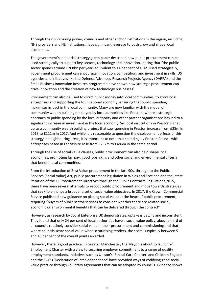Through their purchasing power, councils and other anchor institutions in the region, including NHS providers and HE institutions, have significant leverage to both grow and shape local economies.

The government's industrial strategy green paper described how public procurement can be used strategically to support key sectors, technology and innovation, stating that "the public sector spends around £268bn per year, equivalent to 14 per cent of GDP. Used strategically, government procurement can encourage innovation, competition, and investment in skills. US agencies and initiatives like the Defense Advanced Research Projects Agency (DARPA) and the Small Business Innovation Research programme have shown how strategic procurement can drive innovation and the creation of new technology businesses".

Procurement can also be used to direct public money into local communities, to grow local enterprises and supporting the foundational economy, ensuring that public spending maximises impact in the local community. Many are now familiar with the model of community wealth building employed by local authorities like Preston, where a strategic approach to public spending by the local authority and other partner organisations has led to a significant increase in investment in the local economy. Six local institutions in Preston signed up to a community wealth building project that saw spending in Preston increase from £38m in 2013 to £111m in 2017. And while it is reasonable to question the displacement effects of this strategy in neighbouring areas, it is important to note that spending by Preston Council with enterprises based in Lancashire rose from £292m to £486m in the same period.

Through the use of social value clauses, public procurement can also help shape local economies, promoting fair pay, good jobs, skills and other social and environmental criteria that benefit local communities.

From the introduction of Best Value procurement in the late 90s, through to the Public Services (Social Value) Act, public procurement legislation in Wales and Scotland and the latest iteration of the EC Procurement Directives through the Public Contracts Regulations 2015, there have been several attempts to reboot public procurement and move towards strategies that seek to enhance a broader a set of social value objectives. In 2017, the Crown Commercial Service published new guidance on placing social value at the heart of public procurement, requiring "buyers of public sector services to consider whether there are related social, economic or environmental benefits that can be delivered through the contract"

However, as research by Social Enterprise UK demonstrates, uptake is patchy and inconsistent. They found that only 24 per cent of local authorities have a social value policy, about a third of all councils routinely consider social value in their procurement and commissioning and that where councils score social value when scrutinising tenders, the score is typically between 5 and 10 per cent of the overall points awarded.

However, there is good practice. In Greater Manchester, the Mayor is about to launch an Employment Charter with a view to securing employer commitment to a range of quality employment standards. Initiatives such as Unison's 'Ethical Care Charter' and Children England and the TUC's 'Declaration of Inter-dependence' have provided ways of codifying good social value practice through voluntary agreements that can be adopted by councils. Evidence shows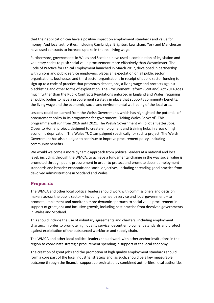that their application can have a positive impact on employment standards and value for money. And local authorities, including Cambridge, Brighton, Lewisham, York and Manchester have used contracts to increase uptake in the real living wage.

Furthermore, governments in Wales and Scotland have used a combination of legislation and voluntary codes to push social value procurement more effectively than Westminster. The Code of Practice for Ethical Employment launched in March 2017, developed in partnership with unions and public service employers, places an expectation on all public sector organisations, businesses and third sector organisations in receipt of public sector funding to sign up to a code of practice that promotes decent jobs, a living wage and protects against blacklisting and other forms of exploitation. The Procurement Reform (Scotland) Act 2014 goes much further than the Public Contracts Regulations enforced in England and Wales, requiring all public bodies to have a procurement strategy in place that supports community benefits, the living wage and the economic, social and environmental well-being of the local area.

Lessons could be learned from the Welsh Government, which has highlighted the potential of procurement policy in its programme for government, 'Taking Wales Forward'. This programme will run from 2016 until 2021. The Welsh Government will pilot a 'Better Jobs, Closer to Home' project, designed to create employment and training hubs in areas of high economic deprivation. The Wales TUC campaigned specifically for such a project. The Welsh Government has also pledged to continue to improve procurement policy, including community benefits.

We would welcome a more dynamic approach from political leaders at a national and local level, including through the WMCA, to achieve a fundamental change in the way social value is promoted through public procurement in order to protect and promote decent employment standards and broader economic and social objectives, including spreading good practice from devolved administrations in Scotland and Wales.

# **Proposals**

The WMCA and other local political leaders should work with commissioners and decision makers across the public sector – including the health service and local government – to promote, implement and monitor a more dynamic approach to social value procurement in support of great jobs and inclusive growth, including best practice from devolved governments in Wales and Scotland.

This should include the use of voluntary agreements and charters, including employment charters, in order to promote high quality service, decent employment standards and protect against exploitation of the outsourced workforce and supply chain.

The WMCA and other local political leaders should work with other anchor institutions in the region to coordinate strategic procurement spending in support of the local economy.

The creation of great jobs and the promotion of high quality employment standards should form a core part of the local industrial strategy and, as such, should be a key measurable outcome through the financial support co-ordinated by combined authorities, local authorities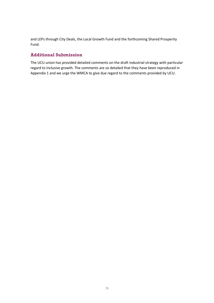and LEPs through City Deals, the Local Growth Fund and the forthcoming Shared Prosperity Fund.

# **Additional Submission**

The UCU union has provided detailed comments on the draft industrial strategy with particular regard to inclusive growth. The comments are so detailed that they have been reproduced in Appendix 1 and we urge the WMCA to give due regard to the comments provided by UCU.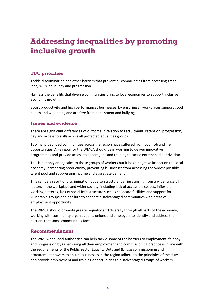# **Addressing inequalities by promoting inclusive growth**

# **TUC priorities**

Tackle discrimination and other barriers that prevent all communities from accessing great jobs, skills, equal pay and progression.

Harness the benefits that diverse communities bring to local economies to support inclusive economic growth.

Boost productivity and high performances businesses, by ensuring all workplaces support good health and well-being and are free from harassment and bullying.

# **Issues and evidence**

There are significant differences of outcome in relation to recruitment, retention, progression, pay and access to skills across all protected equalities groups.

Too many deprived communities across the region have suffered from poor job and life opportunities. A key goal for the WMCA should be in working to deliver innovative programmes and provide access to decent jobs and training to tackle entrenched deprivation.

This is not only an injustice to those groups of workers but it has a negative impact on the local economy, hampering productivity, preventing businesses from accessing the widest possible talent pool and suppressing income and aggregate demand.

This can be a result of discrimination but also structural barriers arising from a wide range of factors in the workplace and wider society, including lack of accessible spaces, inflexible working patterns, lack of social infrastructure such as childcare facilities and support for vulnerable groups and a failure to connect disadvantaged communities with areas of employment opportunity.

The WMCA should promote greater equality and diversity through all parts of the economy, working with community organisations, unions and employers to identify and address the barriers that some communities face.

# **Recommendations**

The WMCA and local authorities can help tackle some of the barriers to employment, fair pay and progression by (a) ensuring all their employment and commissioning practice is in line with the requirements of the Public Sector Equality Duty and (b) use commissioning and procurement powers to ensure businesses in the region adhere to the principles of the duty and provide employment and training opportunities to disadvantaged groups of workers.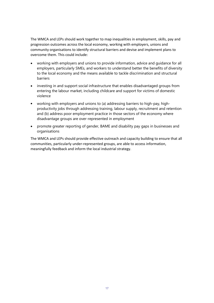The WMCA and LEPs should work together to map inequalities in employment, skills, pay and progression outcomes across the local economy, working with employers, unions and community organisations to identify structural barriers and devise and implement plans to overcome them. This could include:

- working with employers and unions to provide information, advice and guidance for all employers, particularly SMEs, and workers to understand better the benefits of diversity to the local economy and the means available to tackle discrimination and structural barriers
- investing in and support social infrastructure that enables disadvantaged groups from entering the labour market, including childcare and support for victims of domestic violence
- working with employers and unions to (a) addressing barriers to high-pay, highproductivity jobs through addressing training, labour supply, recruitment and retention and (b) address poor employment practice in those sectors of the economy where disadvantage groups are over-represented in employment
- promote greater reporting of gender, BAME and disability pay gaps in businesses and organisations

The WMCA and LEPs should provide effective outreach and capacity building to ensure that all communities, particularly under-represented groups, are able to access information, meaningfully feedback and inform the local industrial strategy.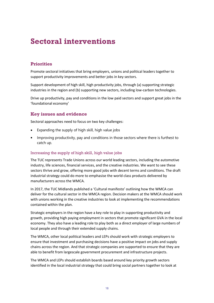# **Sectoral interventions**

# **Priorities**

Promote sectoral initiatives that bring employers, unions and political leaders together to support productivity improvements and better jobs in key sectors.

Support development of high skill, high productivity jobs, through (a) supporting strategic industries in the region and (b) supporting new sectors, including low-carbon technologies.

Drive up productivity, pay and conditions in the low paid sectors and support great jobs in the 'foundational economy'

### **Key issues and evidence**

Sectoral approaches need to focus on two key challenges:

- Expanding the supply of high skill, high value jobs
- Improving productivity, pay and conditions in those sectors where there is furthest to catch up.

#### Increasing the supply of high skill, high value jobs

The TUC represents Trade Unions across our world leading sectors, including the automotive industry, life sciences, financial services, and the creative industries. We want to see these sectors thrive and grow, offering more good jobs with decent terms and conditions. The draft industrial strategy could do more to emphasise the world class products delivered by manufacturers across the WMCA.

In 2017, the TUC Midlands published a ['Cultural manifesto'](https://www.tuc.org.uk/sites/default/files/8255_cultural%20manifesto%20V1_0.pdf) outlining how the WMCA can deliver for the cultural sector in the WMCA region. Decision makers at the WMCA should work with unions working in the creative industries to look at implementing the recommendations contained within the plan.

Strategic employers in the region have a key role to play in supporting productivity and growth, providing high paying employment in sectors that promote significant GVA in the local economy. They also have a leading role to play both as a direct employer of large numbers of local people and through their extended supply chains.

The WMCA, other local political leaders and LEPs should work with strategic employers to ensure that investment and purchasing decisions have a positive impact on jobs and supply chains across the region. And that strategic companies are supported to ensure that they are able to benefit from largescale government procurement and infrastructure projects.

The WMCA and LEPs should establish boards based around key priority growth sectors identified in the local industrial strategy that could bring social partners together to look at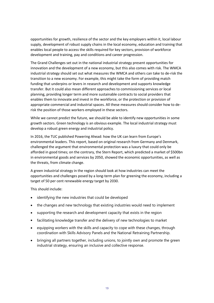opportunities for growth, resilience of the sector and the key employers within it, local labour supply, development of robust supply chains in the local economy, education and training that enables local people to access the skills required for key sectors, provision of workforce development and training, pay and conditions and career progression.

The Grand Challenges set out in the national industrial strategy present opportunities for innovation and the development of a new economy, but this also comes with risk. The WMCA industrial strategy should set out what measures the WMCA and others can take to de-risk the transition to a new economy. For example, this might take the form of providing match funding that underpins or levers in research and development and supports knowledge transfer. But it could also mean different approaches to commissioning services or local planning, providing longer term and more sustainable contracts to social providers that enables them to innovate and invest in the workforce, or the protection or provision of appropriate commercial and industrial spaces. All these measures should consider how to derisk the position of those workers employed in these sectors.

While we cannot predict the future, we should be able to identify new opportunities in some growth sectors. Green technology is an obvious example. The local industrial strategy must develop a robust green energy and industrial policy.

In 2016, the TUC published [Powering Ahead: how the UK can learn from Europe's](https://www.tuc.org.uk/sites/default/files/Powering_Ahead_Report.pdf)  [environmental leaders.](https://www.tuc.org.uk/sites/default/files/Powering_Ahead_Report.pdf) This report, based on original research from Germany and Denmark, challenged the argument that environmental protection was a luxury that could only be afforded in good times; on the contrary, the Stern Report, which predicted a market of \$500bn in environmental goods and services by 2050, showed the economic opportunities, as well as the threats, from climate change.

A green industrial strategy in the region should look at how industries can meet the opportunities and challenges posed by a long-term plan for greening the economy, including a target of 50 per cent renewable energy target by 2030.

This should include:

- identifying the new industries that could be developed
- the changes and new technology that existing industries would need to implement
- supporting the research and development capacity that exists in the region
- facilitating knowledge transfer and the delivery of new technologies to market
- equipping workers with the skills and capacity to cope with these changes, through coordination with Skills Advisory Panels and the National Retraining Partnership.
- bringing all partners together, including unions, to jointly own and promote the green industrial strategy, ensuring an inclusive and collective response.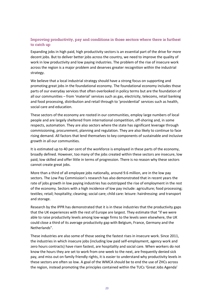# Improving productivity, pay and conditions in those sectors where there is furthest to catch up

Expanding jobs in high paid, high productivity sectors is an essential part of the drive for more decent jobs. But to deliver better jobs across the country, we need to improve the quality of work in low productivity and low paying industries. The problem of the rise of insecure work across the region is a major problem and deserves greater recognition within the industrial strategy.

We believe that a local industrial strategy should have a strong focus on supporting and promoting great jobs in the foundational economy. The foundational economy includes those parts of our everyday services that often overlooked in policy terms but are the foundation of all our communities – from 'material' services such as gas, electricity, telecoms, retail banking and food processing, distribution and retail through to 'providential' services such as health, social care and education.

These sectors of the economy are rooted in our communities, employ large numbers of local people and are largely sheltered from international competition, off-shoring and, in some respects, automation. They are also sectors where the state has significant leverage through commissioning, procurement, planning and regulation. They are also likely to continue to face rising demand. All factors that lend themselves to key components of sustainable and inclusive growth in all our communities.

It is estimated up to 40 per cent of the workforce is employed in these parts of the economy, broadly defined. However, too many of the jobs created within these sectors are insecure, low paid, low skilled and offer little in terms of progression. There is no reason why these sectors cannot create great jobs.

More than a third of all employee jobs nationally, around 9.6 million, are in the low pay sectors. The Low Pay Commission's research has also demonstrated that in recent years the rate of jobs growth in low paying industries has outstripped the rise of employment in the rest of the economy. Sectors with a high incidence of low pay include: agriculture; food processing; textiles; retail; hospitality; cleaning; social care; child care: leisure: hairdressing: and transport and storage.

Research by the IPPR has demonstrated that it is in these industries that the productivity gaps that the UK experiences with the rest of Europe are largest. They estimate that "if we were able to raise productivity levels among low-wage firms to the levels seen elsewhere, the UK could close a third of its average productivity gap with Belgium, France, Germany and the Netherlands".

These industries are also some of those seeing the fastest rises in insecure work. Since 2011, the industries in which insecure jobs (including low paid self-employment, agency work and zero hours contracts) have risen fastest, are hospitality and social care. When workers do not know the hours they are set to work from one week to the next, are frequently denied sick pay, and miss out on family friendly rights, it is easier to understand why productivity levels in these sectors are often so low. A goal of the WMCA should be to end the use of ZHCs across the region, instead promoting the principles contained within the TUCs ['Great Jobs Agenda'](https://www.tuc.org.uk/sites/default/files/great-jobs-agenda.pdf)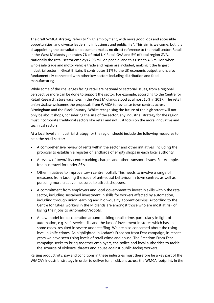The draft WMCA strategy refers to "high employment, with more good jobs and accessible opportunities, and diverse leadership in business and public life". This aim is welcome, but it is disappointing the consultation document makes no direct reference to the retail sector. Retail in the West Midlands generates 7% of total UK Retail GVA and 5% of total region GVA. Nationally the retail sector employs 2.98 million people, and this rises to 4.6 million when wholesale trade and motor vehicle trade and repair are included, making it the largest industrial sector in Great Britain. It contributes 11% to the UK economic output and is also fundamentally connected with other key sectors including distribution and food manufacturing.

While some of the challenges facing retail are national or sectorial issues, from a regional perspective more can be done to support the sector. For example, according to the Centre for Retail Research, store vacancies in the West Midlands stood at almost 15% in 2017. The retail union Usdaw welcomes the proposals from WMCA to revitalise town centres across Birmingham and the Black Country. Whilst recognising the future of the high street will not only be about shops, considering the size of the sector, any industrial strategy for the region must incorporate traditional sectors like retail and not just focus on the more innovative and technical sectors.

At a local level an industrial strategy for the region should include the following measures to help the retail sector:

- A comprehensive review of rents within the sector and other initiatives, including the proposal to establish a register of landlords of empty shops in each local authority.
- A review of town/city centre parking charges and other transport issues. For example, free bus travel for under 25's.
- Other initiatives to improve town centre footfall. This needs to involve a range of measures from tackling the issue of anti-social behaviour in town centres, as well as pursuing more creative measures to attract shoppers.
- A commitment from employers and local government to invest in skills within the retail sector, including sustained investment in skills for workers affected by automation, including through union learning and high-quality apprenticeships. According to the Centre for Cities, workers in the Midlands are amongst those who are most at risk of losing their jobs to automation/robots.
- A new model for co-operation around tackling retail crime, particularly in light of automation, e.g. self- service tills and the lack of investment in stores which has, in some cases, resulted in severe understaffing. We are also concerned about the rising level in knife crimes. As highlighted in Usdaw's Freedom from Fear campaign, in recent years we have seen rising levels of retail crime and abuse. The Freedom From Fear campaign seeks to bring together employers, the police and local authorities to tackle the scourge of violence, threats and abuse against public-facing workers.

Raising productivity, pay and conditions in these industries must therefore be a key part of the WMCA's industrial strategy in order to deliver for all citizens across the WMCA footprint. In the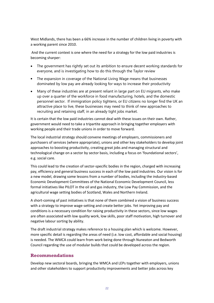West Midlands, there has been a 66% increase in the number of children living in poverty with a working parent since 2010.

And the current context is one where the need for a strategy for the low paid industries is becoming sharper:

- The government has rightly set out its ambition to ensure decent working standards for everyone, and is investigating how to do this through the Taylor review
- The expansion in coverage of the National Living Wage means that businesses dominated by low pay are already looking for ways to increase their productivity
- Many of these industries are at present reliant in large part on EU migrants, who make up over a quarter of the workforce in food manufacturing, hotels, and the domestic personnel sector. If immigration policy tightens, or EU citizens no longer find the UK an attractive place to live, these businesses may need to think of new approaches to recruiting and retaining staff, in an already tight jobs market.

It is certain that the low paid industries cannot deal with these issues on their own. Rather, government would need to take a tripartite approach in bringing together employers with working people and their trade unions in order to move forward.

The local industrial strategy should convene meetings of employers, commissioners and purchasers of services (where appropriate), unions and other key stakeholders to develop joint approaches to boosting productivity, creating great jobs and managing structural and technological change on a sector by sector basis, including a focus on 'foundational sectors', e.g. social care.

This could lead to the creation of sector-specific bodies in the region, charged with increasing pay, efficiency and general business success in each of the low paid industries. Our vision is for a new model, drawing some lessons from a number of bodies, including the industry-based Economic Development Committees of the National Economic Development Council, less formal initiatives like PILOT in the oil and gas industry, the Low Pay Commission, and the agricultural wage setting bodies of Scotland, Wales and Northern Ireland.

A short-coming of past initiatives is that none of them combined a vision of business success with a strategy to improve wage-setting and create better jobs. Yet improving pay and conditions is a necessary condition for raising productivity in these sectors, since low wages are often associated with low quality work, low skills, poor staff motivation, high turnover and negative labour sorting by ability.

The draft industrial strategy makes reference to a housing plan which is welcome. However, more specific detail is regarding the areas of need (i.e. low cost, affordable and social housing) is needed. The WMCA could learn from work being done through Nuneaton and Bedworth Council regarding the use of modular builds that could be developed across the region.

# **Recommendations**

Develop new sectoral boards, bringing the WMCA and LEPs together with employers, unions and other stakeholders to support productivity improvements and better jobs across key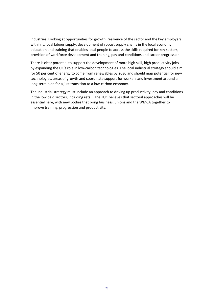industries. Looking at opportunities for growth, resilience of the sector and the key employers within it, local labour supply, development of robust supply chains in the local economy, education and training that enables local people to access the skills required for key sectors, provision of workforce development and training, pay and conditions and career progression.

There is clear potential to support the development of more high skill, high productivity jobs by expanding the UK's role in low-carbon technologies. The local industrial strategy should aim for 50 per cent of energy to come from renewables by 2030 and should map potential for new technologies, areas of growth and coordinate support for workers and investment around a long-term plan for a just transition to a low-carbon economy.

The industrial strategy must include an approach to driving up productivity, pay and conditions in the low paid sectors, including retail. The TUC believes that sectoral approaches will be essential here, with new bodies that bring business, unions and the WMCA together to improve training, progression and productivity.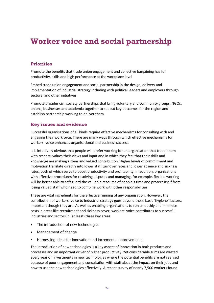# **Worker voice and social partnership**

# **Priorities**

Promote the benefits that trade union engagement and collective bargaining has for productivity, skills and high performance at the workplace level

Embed trade union engagement and social partnership in the design, delivery and implementation of industrial strategy including with political leaders and employers through sectoral and other initiatives.

Promote broader civil society partnerships that bring voluntary and community groups, NGOs, unions, businesses and academia together to set out key outcomes for the region and establish partnership working to deliver them.

# **Key issues and evidence**

Successful organisations of all kinds require effective mechanisms for consulting with and engaging their workforce. There are many ways through which effective mechanisms for workers' voice enhances organisational and business success.

It is intuitively obvious that people will prefer working for an organisation that treats them with respect, values their views and input and in which they feel that their skills and knowledge are making a clear and valued contribution. Higher levels of commitment and motivation translate directly into lower staff turnover rates and lower absence and sickness rates, both of which serve to boost productivity and profitability. In addition, organisations with effective procedures for resolving disputes and managing, for example, flexible working will be better able to safeguard the valuable resource of people's time and protect itself from losing valued staff who need to combine work with other responsibilities.

These are vital ingredients for the effective running of any organisation. However, the contribution of workers' voice to industrial strategy goes beyond these basic 'hygiene' factors, important though they are. As well as enabling organisations to run smoothly and minimise costs in areas like recruitment and sickness cover, workers' voice contributes to successful industries and sectors in (at least) three key areas:

- The introduction of new technologies
- Management of change
- Harnessing ideas for innovation and incremental improvements.

The introduction of new technologies is a key aspect of innovation in both products and processes and an important driver of higher productivity. Yet considerable sums are wasted every year on investments in new technologies where the potential benefits are not realised because of poor engagement and consultation with staff about the impact on their jobs and how to use the new technologies effectively. A recent survey of nearly 7,500 workers found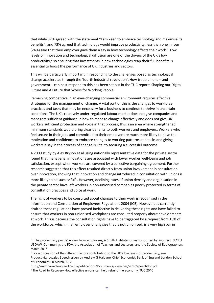that while 87% agreed with the statement "I am keen to embrace technology and maximise its benefits", and 73% agreed that technology would improve productivity, less than one in four (24%) said that their employer gave them a say in how technology effects their work.<sup>1</sup> Low levels of innovation and technological diffusion are one of the drivers of the UK's low productivity,<sup>2</sup> so ensuring that investments in new technologies reap their full benefits is essential to boost the performance of UK industries and sectors.

This will be particularly important in responding to the challenges posed as technological change accelerates through the 'fourth industrial revolution'. How trade unions – and government – can best respond to this has been set out in the TUC reports [Shaping our Digital](https://www.tuc.org.uk/sites/default/files/Shaping-our-digital-future.pdf)  [Future](https://www.tuc.org.uk/sites/default/files/Shaping-our-digital-future.pdf) an[d A Future that Works for Working People.](https://www.tuc.org.uk/sites/default/files/FutureofWorkReport1.pdf)

Remaining competitive in an ever-changing commercial environment requires effective strategies for the management of change. A vital part of this is the changes to workforce practices and tasks that may be necessary for a business to continue to thrive in uncertain conditions. The UK's relatively under-regulated labour market does not give companies and managers sufficient guidance in how to manage change effectively and does not give UK workers sufficient protection and voice in that process; this is an area where strengthened minimum standards would bring clear benefits to both workers and employers. Workers who feel secure in their jobs and committed to their employer are much more likely to have the motivation and confidence to embrace changes to working patterns and tasks and giving workers a say in the process of change is vital to securing a successful outcome.

A 2009 study by Alex Bryson et al using nationally representative data for the private sector found that managerial innovations are associated with lower worker well-being and job satisfaction, except when workers are covered by a collective bargaining agreement. Further research suggested that this effect resulted directly from union involvement in consultation over innovation, showing that innovation and change introduced in consultation with unions is more likely to be successful<sup>3</sup>. However, declining rates of union density and organisation in the private sector have left workers in non-unionised companies poorly protected in terms of consultation practices and voice at work.

The right of workers to be consulted about changes to their work is recognised in the Information and Consultation of Employees Regulations 2004 (ICE). However, as currently drafted these regulations have proved ineffective in delivering these rights and have failed to ensure that workers in non-unionised workplaces are consulted properly about developments at work. This is because the consultation rights have to be triggered by a request from 10% of the workforce, which, in an employer of any size that is not unionised, is a very high bar in

1

<sup>1</sup> 'The productivity puzzle' A view from employees, A Smith Institute survey supported by Prospect, BECTU, USDAW, Community, the FDA, the Association of Teachers and Lecturers, and the Society of Radiographers March 2016

<sup>&</sup>lt;sup>2</sup> For a discussion of the different factors contributing to the UK's low levels of productivity, see Productivity puzzles Speech given by Andrew G Haldane, Chief Economist, Bank of England London School of Economics 20 March 2017,

http://www.bankofengland.co.uk/publications/Documents/speeches/2017/speech968.pdf

<sup>3</sup> The Road to Recovery How effective unions can help rebuild the economy, TUC 2010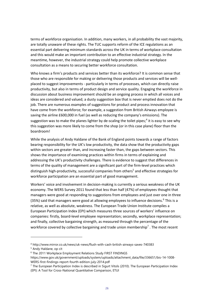terms of workforce organisation. In addition, many workers, in all probability the vast majority, are totally unaware of these rights. The TUC supports reform of the ICE regulations as an essential part delivering minimum standards across the UK in terms of workplace consultation and this would make an important contribution to an effective industrial strategy. In the meantime, however, the industrial strategy could help promote collective workplace consultation as a means to securing better workforce consultation.

Who knows a firm's products and services better than its workforce? It is common sense that those who are responsible for making or delivering those products and services will be wellplaced to suggest improvements - particularly in terms of processes, which can directly raise productivity, but also in terms of product design and service quality. Engaging the workforce in discussion about business improvement should be an ongoing process in which all voices and ideas are considered and valued; a dusty suggestion box that is never emptied does not do the job. There are numerous examples of suggestions for product and process innovation that have come from the workforce; for example, a suggestion from British Airways employee is saving the airline £600,000 in fuel (as well as reducing the company's emissions). The suggestion was to make the planes lighter by de-scaling the toilet pipes;<sup>4</sup> it is easy to see why this suggestion was more likely to come from the shop (or in this case plane) floor than the boardroom!

While the analysis of Andy Haldane of the Bank of England points towards a range of factors bearing responsibility for the UK's low productivity, the data show that the productivity gaps within sectors are greater than, and increasing faster than, the gaps between sectors. This shows the importance of examining practices within firms in terms of explaining and addressing the UK's productivity challenges. There is evidence to suggest that differences in terms of the quality of management are a significant part of the firm-level practices which distinguish high-productivity, successful companies from others<sup>5</sup> and effective strategies for workforce participation are an essential part of good management.

Workers' voice and involvement in decision-making is currently a serious weakness of the UK economy. The WERS Survey 2011 found that less than half (47%) of employees thought that managers were good at responding to suggestions from employees and just over one in three (35%) said that managers were good at allowing employees to influence decisions.<sup>6</sup> This is a relative, as well as absolute, weakness. The European Trade Union Institute compiles a European Participation Index (EPI) which measures three sources of workers' influence on companies: firstly, board-level employee representation; secondly, workplace representation; and finally, collective bargaining strength, as measured through the percentage of the workforce covered by collective bargaining and trade union membership<sup>7</sup>. The most recent

**.** 

<sup>4</sup> http://www.mirror.co.uk/news/uk-news/flush-with-cash-british-airways-saves-740383

<sup>5</sup> Andy Haldane, op cit

<sup>6</sup> The 2011 Workplace Employment Relations Study FIRST FINDINGS

https://www.gov.uk/government/uploads/system/uploads/attachment\_data/file/336651/bis-14-1008- WERS-first-findings-report-fourth-edition-july-2014.pdf

 $7$  The European Participation Index is described in Sigurt Vitols (2010). The European Participation Index (EPI): A Tool for Cross‐National Quantitative Comparison, ETUI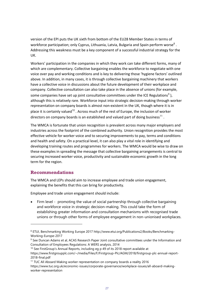version of the EPI puts the UK sixth from bottom of the EU28 Member States in terms of workforce participation; only Cyprus, Lithuania, Latvia, Bulgaria and Spain perform worse<sup>8</sup>. Addressing this weakness must be a key component of a successful industrial strategy for the UK.

Workers' participation in the companies in which they work can take different forms, many of which are complementary. Collective bargaining enables the workforce to negotiate with one voice over pay and working conditions and is key to delivering those 'hygiene factors' outlined above. In addition, in many cases, it is through collective bargaining machinery that workers have a collective voice in discussions about the future development of their workplace and company. Collective consultation can also take place in the absence of unions (for example, some companies have set up joint consultative committees under the ICE Regulations<sup>9</sup>), although this is relatively rare. Workforce input into strategic decision-making through worker representation on company boards is almost non-existent in the UK, though where it is in place it is certainly valued<sup>10</sup>. Across much of the rest of Europe, the inclusion of worker directors on company boards is an established and valued part of doing business $^{11}$ .

The WMCA is fortunate that union recognition is prevalent across many major employers and industries across the footprint of the combined authority. Union recognition provides the most effective vehicle for worker voice and to securing improvements to pay, terms and conditions and health and safety. On a practical level, it can also play a vital role in identifying and developing training routes and programmes for workers. The WMCA would be wise to draw on these examples in spreading the message that collective bargaining arrangements is central to securing increased worker voice, productivity and sustainable economic growth in the long term for the region.

# **Recommendations**

The WMCA and LEPs should aim to increase employee and trade union engagement, explaining the benefits that this can bring for productivity.

Employee and trade union engagement should include:

• Firm level - promoting the value of social partnership through collective bargaining and workforce voice in strategic decision-making. This could take the form of establishing greater information and consultation mechanisms with recognised trade unions or through other forms of employee engagement in non-unionised workplaces.

1

<sup>8</sup> ETUI, Benchmarking Working Europe 2017 http://www.etui.org/Publications2/Books/Benchmarking-Working-Europe-2017

<sup>9</sup> See Duncan Adams et al, ACAS Research Paper Joint consultative committees under the Information and Consultation of Employees Regulations: A WERS analysis, 2014

<sup>&</sup>lt;sup>10</sup> See FirstGroup's Annual Reports, including eg p 49 of its 2018 report available at https://www.firstgroupplc.com/~/media/Files/F/Firstgroup-Plc/AGM/2018/firstgroup-plc-annual-report-2018-final.pdf

<sup>&</sup>lt;sup>11</sup> TUC All Aboard Making worker representation on company boards a reality 2016 [https://www.tuc.org.uk/economic-issues/corporate-governance/workplace-issues/all-aboard-making-](https://www.tuc.org.uk/economic-issues/corporate-governance/workplace-issues/all-aboard-making-worker-representation)

[worker-representation](https://www.tuc.org.uk/economic-issues/corporate-governance/workplace-issues/all-aboard-making-worker-representation)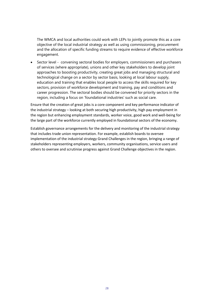The WMCA and local authorities could work with LEPs to jointly promote this as a core objective of the local industrial strategy as well as using commissioning, procurement and the allocation of specific funding streams to require evidence of effective workforce engagement.

• Sector level - convening sectoral bodies for employers, commissioners and purchasers of services (where appropriate), unions and other key stakeholders to develop joint approaches to boosting productivity, creating great jobs and managing structural and technological change on a sector by sector basis, looking at local labour supply, education and training that enables local people to access the skills required for key sectors, provision of workforce development and training, pay and conditions and career progression. The sectoral bodies should be convened for priority sectors in the region, including a focus on 'foundational industries' such as social care.

Ensure that the creation of great jobs is a core component and key performance indicator of the industrial strategy – looking at both securing high productivity, high pay employment in the region but enhancing employment standards, worker voice, good work and well-being for the large part of the workforce currently employed in foundational sectors of the economy.

Establish governance arrangements for the delivery and monitoring of the industrial strategy that includes trade union representation. For example, establish boards to oversee implementation of the industrial strategy Grand Challenges in the region, bringing a range of stakeholders representing employers, workers, community organisations, service users and others to oversee and scrutinise progress against Grand Challenge objectives in the region.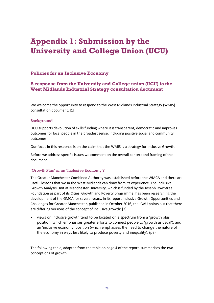# **Appendix 1: Submission by the University and College Union (UCU)**

# **Policies for an Inclusive Economy**

# **A response from the University and College union (UCU) to the West Midlands Industrial Strategy consultation document**

We welcome the opportunity to respond to the West Midlands Industrial Strategy (WMIS) consultation document. [1]

#### Background

UCU supports devolution of skills funding where it is transparent, democratic and improves outcomes for local people in the broadest sense, including positive social and community outcomes.

Our focus in this response is on the claim that the WMIS is a strategy for Inclusive Growth.

Before we address specific issues we comment on the overall context and framing of the document.

#### 'Growth Plus' or an 'Inclusive Economy'?

The Greater Manchester Combined Authority was established before the WMCA and there are useful lessons that we in the West Midlands can draw from its experience. The Inclusive Growth Analysis Unit at Manchester University, which is funded by the Joseph Rowntree Foundation as part of its Cities, Growth and Poverty programme, has been researching the development of the GMCA for several years. In its report Inclusive Growth Opportunities and Challenges for Greater Manchester, published in October 2016, the IGAU points out that there are differing versions of the concept of inclusive growth: [2]

• views on inclusive growth tend to be located on a spectrum from a 'growth plus' position (which emphasises greater efforts to connect people to 'growth as usual'), and an 'inclusive economy' position (which emphasises the need to change the nature of the economy in ways less likely to produce poverty and inequality). (p3)

The following table, adapted from the table on page 4 of the report, summarises the two conceptions of growth.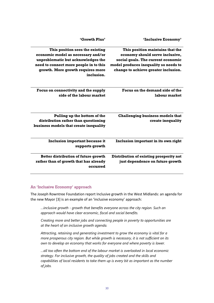| 'Inclusive Economy'                                                                                                                                                                        | 'Growth Plus'                                                                                                                                                                                            |
|--------------------------------------------------------------------------------------------------------------------------------------------------------------------------------------------|----------------------------------------------------------------------------------------------------------------------------------------------------------------------------------------------------------|
| This position maintains that the<br>economy should serve inclusive,<br>social goals. The current economic<br>model produces inequality so needs to<br>change to achieve greater inclusion. | This position sees the existing<br>economic model as necessary and/or<br>unproblematic but acknowledges the<br>need to connect more people in to this<br>growth. More growth requires more<br>inclusion. |
| Focus on the demand side of the<br>labour market                                                                                                                                           | Focus on connectivity and the supply<br>side of the labour market                                                                                                                                        |
| <b>Challenging business models that</b><br>create inequality                                                                                                                               | Pulling up the bottom of the<br>distribution rather than questioning<br>business models that create inequality                                                                                           |
| Inclusion important in its own right                                                                                                                                                       | <b>Inclusion important because it</b><br>supports growth                                                                                                                                                 |
| Distribution of existing prosperity not<br>just dependence on future growth                                                                                                                | Better distribution of future growth<br>rather than of growth that has already<br>occurred                                                                                                               |

#### An 'Inclusive Economy' approach

The Joseph Rowntree Foundation report Inclusive growth in the West Midlands: an agenda for the new Mayor [3] is an example of an 'inclusive economy' approach:

*…inclusive growth - growth that benefits everyone across the city region. Such an approach would have clear economic, fiscal and social benefits.* 

*Creating more and better jobs and connecting people in poverty to opportunities are at the heart of an inclusive growth agenda.* 

*Attracting, retaining and generating investment to grow the economy is vital for a more prosperous city region. But while growth is necessary, it is not sufficient on its own to develop an economy that works for everyone and where poverty is lower.* 

*…all too often the bottom end of the labour market is overlooked in local economic strategy. For inclusive growth, the quality of jobs created and the skills and capabilities of local residents to take them up is every bit as important as the number of jobs.*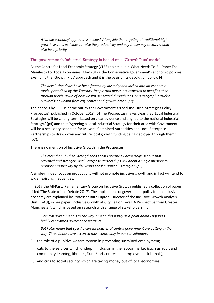*A 'whole economy' approach is needed. Alongside the targeting of traditional high growth sectors, activities to raise the productivity and pay in low pay sectors should also be a priority.* 

#### The government's Industrial Strategy is based on a 'Growth Plus' model

As the Centre for Local Economic Strategy (CLES) points out in What Needs To Be Done: The Manifesto For Local Economies (May 2017), the Conservative government's economic policies exemplify the 'Growth Plus' approach and it is the basis of its devolution policy: [4]

*The devolution deals have been framed by austerity and locked into an economic model prescribed by the Treasury. People and places are expected to benefit either through trickle-down of new wealth generated through jobs, or a geographic 'trickle outwards' of wealth from city centres and growth areas. (p8)*

The analysis by CLES is borne out by the Government's 'Local Industrial Strategies Policy Prospectus', published in October 2018. [5] The Prospectus makes clear that 'Local Industrial Strategies will be … long-term, based on clear evidence and aligned to the national Industrial Strategy.' (p4) and that 'Agreeing a Local Industrial Strategy for their area with Government will be a necessary condition for Mayoral Combined Authorities and Local Enterprise Partnerships to draw down any future local growth funding being deployed through them.' (p7).

There is no mention of Inclusive Growth in the Prospectus:

*The recently published Strengthened Local Enterprise Partnerships set out that reformed and stronger Local Enterprise Partnerships will adopt a single mission: to promote productivity by delivering Local Industrial Strategies. (p3)*

A single-minded focus on productivity will not promote inclusive growth and in fact will tend to widen existing inequalities.

In 2017 the All-Party Parliamentary Group on Inclusive Growth published a collection of paper titled 'The State of the Debate 2017'. The implications of government policy for an inclusive economy are explained by Professor Ruth Lupton, Director of the Inclusive Growth Analysis Unit (IGAU), in her paper 'Inclusive Growth at City Region Level: A Perspective from Greater Manchester', which is based on research with a range of stakeholders. [6]

*…central government is in the way. I mean this partly as a point about England's highly centralised governance structure.* 

*But I also mean that specific current policies of central government are getting in the way. Three issues have occurred most commonly in our consultations:* 

- i) the role of a punitive welfare system in preventing sustained employment;
- ii) cuts to the services which underpin inclusion in the labour market (such as adult and community learning, libraries, Sure Start centres and employment tribunals);
- iii) and cuts to social security which are taking money out of local economies.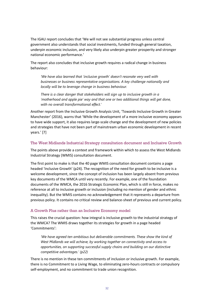The IGAU report concludes that 'We will not see substantial progress unless central government also understands that social investments, funded through general taxation, underpin economic inclusion, and very likely also underpin greater prosperity and stronger national economic performance.'

The report also concludes that inclusive growth requires a radical change in business behaviour:

*'We have also learned that 'inclusive growth' doesn't resonate very well with businesses or business representative organisations. A key challenge nationally and locally will be to leverage change in business behaviour.*

*There is a clear danger that stakeholders will sign up to inclusive growth in a 'motherhood and apple pie' way and that one or two additional things will get done, with no overall transformational effect.'*

Another report from the Inclusive Growth Analysis Unit, 'Towards Inclusive Growth in Greater Manchester' (2016), warns that 'While the development of a more inclusive economy appears to have wide support, it also requires large-scale change and the development of new policies and strategies that have not been part of mainstream urban economic development in recent years.' [7]

#### The West Midlands Industrial Strategy consultation document and Inclusive Growth

The points above provide a context and framework within which to assess the West Midlands Industrial Strategy (WMIS) consultation document.

The first point to make is that the 40 page WMIS consultation document contains a page headed 'Inclusive Growth' (p24). The recognition of the need for growth to be inclusive is a welcome development, since the concept of inclusion has been largely absent from previous key documents of the WMCA until very recently. For example, one of the foundation documents of the WMCA, the 2016 Strategic Economic Plan, which is still in force, makes no reference at all to inclusive growth or inclusion (including no mention of gender and ethnic inequality). But the WMIS contains no acknowledgement that it represents a departure from previous policy. It contains no critical review and balance-sheet of previous and current policy.

#### A Growth Plus rather than an Inclusive Economy model

This raises the crucial question: how integral is inclusive growth to the industrial strategy of the WMCA? The WMIS draws together its strategies for growth in a page headed 'Commitments':

*'We have agreed ten ambitious but deliverable commitments. These show the kind of West Midlands we will achieve, by working together on connectivity and access to opportunities, on supporting successful supply chains and building on our distinctive competitive advantages.' (p22)*

There is no mention in these ten commitments of inclusion or inclusive growth. For example, there is no Commitment to a Living Wage, to eliminating zero-hours contracts or compulsory self-employment, and no commitment to trade union recognition.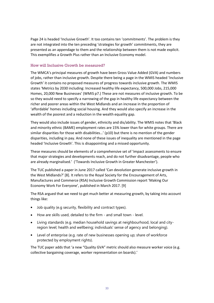Page 24 is headed 'Inclusive Growth'. It too contains ten 'commitments'. The problem is they are not integrated into the ten preceding 'strategies for growth' commitments, they are presented as an appendage to them and the relationship between them is not made explicit. This exemplifies a Growth Plus rather than an Inclusive Economy model.

#### How will Inclusive Growth be measured?

The WMCA's principal measures of growth have been Gross Value Added (GVA) and numbers of jobs, rather than inclusive growth. Despite there being a page in the WMIS headed 'Inclusive Growth' it contains no proposed measures of progress towards inclusive growth. The WMIS states 'Metrics by 2030 including: Increased healthy life expectancy, 500,000 Jobs, 215,000 Homes, 20,000 New Businesses' (WMIS p7.) These are not measures of inclusive growth. To be so they would need to specify a narrowing of the gap in healthy life expectancy between the richer and poorer areas within the West Midlands and an increase in the proportion of 'affordable' homes including social housing. And they would also specify an increase in the wealth of the poorest and a reduction in the wealth equality gap.

They would also include issues of gender, ethnicity and dis/ability. The WMIS notes that 'Black and minority ethnic (BAME) employment rates are 15% lower than for white groups. There are similar disparities for those with disabilities…' (p10) but there is no mention of the gender disparities, including in pay. And none of these issues of inequality are mentioned in the page headed 'Inclusive Growth'. This is disappointing and a missed opportunity.

These measures should be elements of a comprehensive set of 'impact assessments to ensure that major strategies and developments reach, and do not further disadvantage, people who are already marginalised.' ('Towards Inclusive Growth in Greater Manchester').

The TUC published a paper in June 2017 called 'Can devolution generate inclusive growth in the West Midlands?' [8]. It refers to the Royal Society for the Encouragement of Arts, Manufactures and Commerce (RSA) Inclusive Growth Commission report 'Making Our Economy Work For Everyone', published in March 2017. [9]

The RSA argued that we need to get much better at measuring growth, by taking into account things like:

- Job quality (e.g security, flexibility and contract types).
- How are skills used, detailed to the firm and small town level.
- Living standards (e.g. median household savings at neighbourhood, local and cityregion level; health and wellbeing; individuals' sense of agency and belonging).
- Level of enterprise (e.g. rate of new businesses opening up; share of workforce protected by employment rights).

The TUC paper adds that 'a new "Quality GVA" metric should also measure worker voice (e.g. collective bargaining coverage, worker representation on boards).'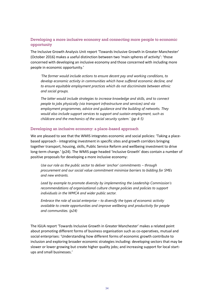### Developing a more inclusive economy and connecting more people to economic opportunity

The Inclusive Growth Analysis Unit report 'Towards Inclusive Growth in Greater Manchester' (October 2016) makes a useful distinction between two 'main spheres of activity': 'those concerned with developing an inclusive economy and those concerned with including more people in economic opportunity.'

*'The former would include actions to ensure decent pay and working conditions, to develop economic activity in communities which have suffered economic decline, and to ensure equitable employment practices which do not discriminate between ethnic and social groups.* 

*The latter would include strategies to increase knowledge and skills, and to connect people to jobs physically (via transport infrastructure and services) and via employment programmes, advice and guidance and the building of networks. They would also include support services to support and sustain employment, such as childcare and the mechanics of the social security system.' (pp 4-5)*

#### Developing an inclusive economy: a place-based approach

We are pleased to see that the WMIS integrates economic and social policies: 'Taking a placebased approach - integrating investment in specific sites and growth corridors bringing together transport, housing, skills, Public Service Reform and wellbeing investment to drive long-term change.' (p24). The WMIS page headed 'Inclusive Growth' does contain a number of positive proposals for developing a more inclusive economy:

*Use our role as the public sector to deliver 'anchor' commitments – through procurement and our social value commitment minimise barriers to bidding for SMEs and new entrants.* 

*Lead by example to promote diversity by implementing the Leadership Commission's recommendations of organisational culture change policies and policies to support individuals in the WMCA and wider public sector.* 

*Embrace the role of social enterprise – to diversify the types of economic activity available to create opportunities and improve wellbeing and productivity for people and communities. (p24)*

The IGUA report 'Towards Inclusive Growth in Greater Manchester' makes a related point about promoting different forms of business organisation such as co-operatives, mutual and social enterprises: 'Understanding how different forms of economic growth contribute to inclusion and exploring broader economic strategies including: developing sectors that may be slower or lower growing but create higher quality jobs; and increasing support for local startups and small businesses.'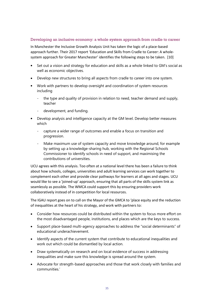#### Developing an inclusive economy: a whole system approach from cradle to career

In Manchester the Inclusive Growth Analysis Unit has taken the logic of a place-based approach further. Their 2017 report 'Education and Skills from Cradle to Career: A wholesystem approach for Greater Manchester' identifies the following steps to be taken. [10]

- Set out a vision and strategy for education and skills as a whole linked to GM's social as well as economic objectives.
- Develop new structures to bring all aspects from cradle to career into one system.
- Work with partners to develop oversight and coordination of system resources including
	- the type and quality of provision in relation to need, teacher demand and supply, teacher
	- development, and funding.
- Develop analysis and intelligence capacity at the GM level. Develop better measures which
	- capture a wider range of outcomes and enable a focus on transition and progression.
	- Make maximum use of system capacity and move knowledge around, for example by setting up a knowledge-sharing hub, working with the Regional Schools Commissioner to identify schools in need of support, and maximising the contributions of universities.

UCU agrees with this analysis. Too often at a national level there has been a failure to think about how schools, colleges, universities and adult learning services can work together to complement each other and provide clear pathways for learners at all ages and stages. UCU would like to see a 'joined-up' approach, ensuring that all parts of the skills system link as seamlessly as possible. The WMCA could support this by ensuring providers work collaboratively instead of in competition for local resources.

The IGAU report goes on to call on the Mayor of the GMCA to 'place equity and the reduction of inequalities at the heart of his strategy, and work with partners to:

- Consider how resources could be distributed within the system to focus more effort on the most disadvantaged people, institutions, and places which are the keys to success.
- Support place-based multi-agency approaches to address the "social determinants" of educational underachievement.
- Identify aspects of the current system that contribute to educational inequalities and work out which could be dismantled by local action.
- Draw systematically on research and on local evidence of success in addressing inequalities and make sure this knowledge is spread around the system.
- Advocate for strength-based approaches and those that work closely with families and communities.'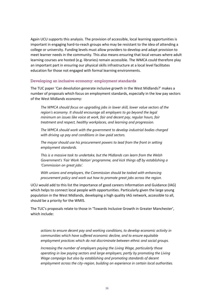Again UCU supports this analysis. The provision of accessible, local learning opportunities is important in engaging hard-to-reach groups who may be resistant to the idea of attending a college or university. Funding levels must allow providers to develop and adapt provision to meet learner needs in the community. This also means ensuring that local venues where adult learning courses are hosted (e.g. libraries) remain accessible. The WMCA could therefore play an important part in ensuring our physical skills infrastructure at a local level facilitates education for those not engaged with formal learning environments.

#### Developing an inclusive economy: employment standards

The TUC paper 'Can devolution generate inclusive growth in the West Midlands?' makes a number of proposals which focus on employment standards, especially in the low pay sectors of the West Midlands economy:

*The WMCA should focus on upgrading jobs in lower skill, lower value sectors of the region's economy. It should encourage all employers to go beyond the legal minimum on issues like voice at work, fair and decent pay, regular hours, fair treatment and respect, healthy workplaces, and learning and progression.* 

*The WMCA should work with the government to develop industrial bodies charged with driving up pay and conditions in low-paid sectors.* 

*The mayor should use his procurement powers to lead from the front in setting employment standards.* 

*This is a massive task to undertake, but the Midlands can learn from the Welsh Government's 'Fair Work Nation' programme, and kick things off by establishing a 'Commission on great jobs'.* 

*With unions and employers, the Commission should be tasked with enhancing procurement policy and work out how to promote great jobs across the region.*

UCU would add to this list the importance of good careers Information and Guidance (IAG) which helps to connect local people with opportunities. Particularly given the large young population in the West Midlands, developing a high quality IAG network, accessible to all, should be a priority for the WMIS.

The TUC's proposals relate to those in 'Towards Inclusive Growth in Greater Manchester', which include:

*actions to ensure decent pay and working conditions, to develop economic activity in communities which have suffered economic decline, and to ensure equitable employment practices which do not discriminate between ethnic and social groups.* 

*Increasing the number of employers paying the Living Wage, particularly those operating in low paying sectors and large employers, partly by promoting the Living Wage campaign but also by establishing and promoting standards of decent employment across the city-region, building on experience in certain local authorities.*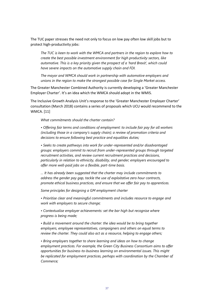The TUC paper stresses the need not only to focus on low pay often low skill jobs but to protect high-productivity jobs:

*The TUC is keen to work with the WMCA and partners in the region to explore how to create the best possible investment environment for high productivity sectors, like automotive. This is a key priority given the prospect of a 'hard Brexit', which could have severe impacts on the automotive supply chain and FDI.* 

*The mayor and WMCA should work in partnership with automotive employers and unions in the region to make the strongest possible case for Single Market access.* 

The Greater Manchester Combined Authority is currently developing a 'Greater Manchester Employer Charter'. It's an idea which the WMCA should adopt in the WMIS.

The Inclusive Growth Analysis Unit's response to the 'Greater Manchester Employer Charter' consultation (March 2018) contains a series of proposals which UCU would recommend to the WMCA. [11]

#### *What commitments should the charter contain?*

*• Offering fair terms and conditions of employment: to include fair pay for all workers (including those in a company's supply chain); a review of promotion criteria and decisions to ensure following best practice and equalities duties;* 

*• Seeks to create pathways into work for under-represented and/or disadvantaged groups: employers commit to recruit from under-represented groups through targeted recruitment activities, and review current recruitment practices and decisions, particularly in relation to ethnicity, disability, and gender; employers encouraged to offer more well-paid jobs on a flexible, part-time basis.*

*… It has already been suggested that the charter may include commitments to address the gender pay gap, tackle the use of exploitative zero hour contracts, promote ethical business practices, and ensure that we offer fair pay to apprentices.*

*Some principles for designing a GM employment charter* 

*• Prioritise clear and meaningful commitments and includes resource to engage and work with employers to secure change;* 

*• Contextualise employer achievements: set the bar high but recognise where progress is being made;* 

*• Build a movement around the charter: the idea would be to bring together employers, employee representatives, campaigners and others on equal terms to review the charter. They could also act as a resource, helping to engage others;* 

*• Bring employers together to share learning and ideas on how to change employment practices. For example, the Green City Business Consortium aims to offer opportunities for business-to-business learning on environmental issues. This might be replicated for employment practices, perhaps with coordination by the Chamber of Commerce;*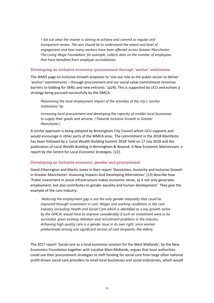*• Set out what the charter is aiming to achieve and commit to regular and transparent review. The aim should be to understand the extent and level of engagement and how many workers have been affected across Greater Manchester. The Living Wage Foundation, for example, collects data on the number of employees that have benefited from employer accreditation.*

#### Developing an inclusive economy: procurement through 'anchor' institutions

The WMIS page on Inclusive Growth proposes to 'Use our role as the public sector to deliver 'anchor' commitments – through procurement and our social value commitment minimise barriers to bidding for SMEs and new entrants.' (p24). This is supported by UCU and echoes a strategy being pursued successfully by the GMCA:

*Maximising the local employment impact of the activities of the city's 'anchor institutions' by*

*increasing local procurement and developing the capacity of smaller local businesses to supply their goods and services. ('Towards Inclusive Growth in Greater Manchester')*

A similar approach is being adopted by Birmingham City Council which UCU supports and would encourage in other parts of the WMCA area. The commitment in the 2018 Manifesto has been followed by a 'Local Wealth Building Summit 2018' held on 17 July 2018 and the publication of Local Wealth Building in Birmingham & Beyond: A New Economic Mainstream, a report by the Centre for Local Economic Strategies. [12].

#### Developing an inclusive economy: gender and procurement

David Etherington and Martin Jones in their report 'Devolution, Austerity and Inclusive Growth in Greater Manchester: Assessing Impacts And Developing Alternatives' [13] describe how 'Public investment in social infrastructure makes economic sense, as it not only generates employment, but also contributes to gender equality and human development.' They give the example of the care industry:

*Reducing the employment gap is not the only gender inequality that could be improved through investment in care. Wages and working conditions in the care industry (including Health and Social Care which is identified as a key growth sector by the GMCA) would have to improve considerably if such an investment were to be successful, given existing retention and recruitment problems in the industry. Achieving high quality care is a gender issue in its own right, since women predominate among one significant section of care recipients, the elderly.* 

The 2017 report 'Social care as a local economic solution for the West Midlands', by the New Economics Foundation together with Localise West Midlands, argues that local authorities could use their procurement strategies to shift funding for social care from large often national profit-driven social care providers to small local businesses and social enterprises, which would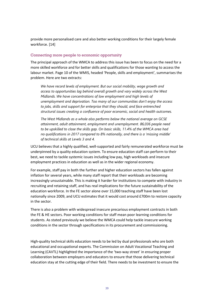provide more personalised care and also better working conditions for their largely female workforce. [14]

#### Connecting more people to economic opportunity

The principal approach of the WMCA to address this issue has been to focus on the need for a more skilled workforce and for better skills and qualifications for those wanting to access the labour market. Page 10 of the WMIS, headed 'People, skills and employment', summarises the problem. Here are two extracts:

*We have record levels of employment. But our social mobility, wage growth and access to opportunities lag behind overall growth and vary widely across the West Midlands. We have concentrations of low employment and high levels of unemployment and deprivation. Too many of our communities don't enjoy the access to jobs, skills and support for enterprise that they should, and face entrenched structural issues creating a confluence of poor economic, social and health outcomes.*

*The West Midlands as a whole also performs below the national average on GCSE attainment, adult attainment, employment and unemployment. 86,036 people need to be upskilled to close the skills gap. On basic skills, 11.4% of the WMCA area had no qualifications in 2017 compared to 8% nationally, and there is a 'missing middle' of technical skills at Levels 3 and 4.*

UCU believes that a highly qualified, well-supported and fairly remunerated workforce must be underpinned by a quality education system. To ensure education staff can perform to their best, we need to tackle systemic issues including low pay, high workloads and insecure employment practices in education as well as in the wider regional economy.

For example, staff pay in both the further and higher education sectors has fallen against inflation for several years, while many staff report that their workloads are becoming increasingly unsustainable. This is making it harder for institutions to compete with industry in recruiting and retaining staff, and has real implications for the future sustainability of the education workforce. In the FE sector alone over 15,000 teaching staff have been lost nationally since 2009, and UCU estimates that it would cost around £700m to restore capacity in the sector.

There is also a problem with widespread insecure precarious employment contracts in both the FE & HE sectors. Poor working conditions for staff mean poor learning conditions for students. As stated previously we believe the WMCA could help tackle insecure working conditions in the sector through specifications in its procurement and commissioning.

High-quality technical skills education needs to be led by dual professionals who are both educational and occupational experts. The Commission on Adult Vocational Teaching and Learning (CAVTL) highlighted the importance of the 'two-way street' in ensuring proper collaboration between employers and educators to ensure that those delivering technical education stay at the cutting edge of their field. There needs to be investment to ensure the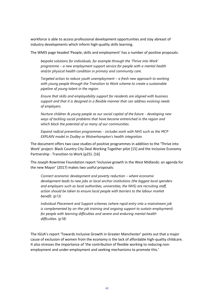workforce is able to access professional development opportunities and stay abreast of industry developments which inform high-quality skills learning.

The WMIS page headed 'People, skills and employment' has a number of positive proposals:

*bespoke solutions for individuals, for example through the 'Thrive into Work' programme – a new employment support service for people with a mental health and/or physical health condition in primary and community care.* 

*Targeted action to reduce youth unemployment – a fresh new approach to working with young people through the Transition to Work scheme to create a sustainable pipeline of young talent in the region.* 

*Ensure that skills and employability support for residents are aligned with business support and that it is designed in a flexible manner that can address evolving needs of employers.* 

*Nurture children & young people as our social capital of the future - developing new ways of tackling social problems that have become entrenched in the region and which block the potential of so many of our communities.* 

*Expand radical prevention programmes - includes work with NHS such as the MCP EXPLAIN model in Dudley or Wolverhampton's health integration.* 

The document offers two case studies of positive programmes in addition to the 'Thrive into Work' project: Black Country City Deal Working Together pilot [15] and the Inclusive Economy Partnership - Transition to Work (p25). [16]

The Joseph Rowntree Foundation report 'Inclusive growth in the West Midlands: an agenda for the new Mayor' (2017) makes two useful proposals:

*Connect economic development and poverty reduction – where economic development leads to new jobs or local anchor institutions (the biggest local spenders and employers such as local authorities, universities, the NHS) are recruiting staff, action should be taken to ensure local people with barriers to the labour market benefit. (p13)*

*Individual Placement and Support schemes (where rapid entry into a mainstream job*  is complemented by on-the-job training and ongoing support to sustain employment) *for people with learning difficulties and severe and enduring mental health difficulties. (p18)*

The IGUA's report 'Towards Inclusive Growth in Greater Manchester' points out that a major cause of exclusion of women from the economy is the lack of affordable high-quality childcare. It also stresses the importance of 'the contribution of flexible working to reducing nonemployment and under-employment and seeking mechanisms to promote this.'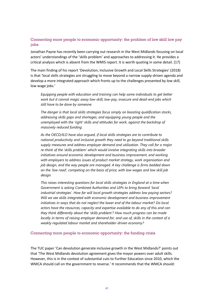### Connecting more people to economic opportunity: the problem of low skill low pay jobs

Jonathan Payne has recently been carrying out research in the West Midlands focusing on local actors' understandings of the 'skills problem' and approaches to addressing it. He provides a critical analysis which is absent from the WMIS report. It is worth quoting in some detail. [17]

The main finding of his report 'Devolution, Inclusive Growth and Local Skills Strategies' (2018) is that 'local skills strategies are struggling to move beyond a narrow supply-driven agenda and develop a more integrated approach which [fronts up to the challenges presented by low skill,](https://owa.bcu.ac.uk/owa/redir.aspx?C=kUkO07bR_NIqizkbfbLspIRX1xsiBuApSpwRfFhIC45b-mzXyN3VCA..&URL=http%3a%2f%2fwww.skope.ox.ac.uk%2f%3fperson%3din-the-dna-or-missing-gene-devolution-local-skills-strategies-and-the-challenge-of-inclusive-growth-in-england)  [low wage jobs](https://owa.bcu.ac.uk/owa/redir.aspx?C=kUkO07bR_NIqizkbfbLspIRX1xsiBuApSpwRfFhIC45b-mzXyN3VCA..&URL=http%3a%2f%2fwww.skope.ox.ac.uk%2f%3fperson%3din-the-dna-or-missing-gene-devolution-local-skills-strategies-and-the-challenge-of-inclusive-growth-in-england).'

*Equipping people with education and training can help some individuals to get better work but it cannot magic away low-skill, low-pay, insecure and dead-end jobs which still have to be done by someone.*

*The danger is that local skills strategies focus simply on boosting qualification stocks, addressing skills gaps and shortages, and equipping young people and the unemployed with the 'right' skills and attitudes for work, against the backdrop of massively reduced funding.* 

*As the [OECD/ILO have also argued,](https://owa.bcu.ac.uk/owa/redir.aspx?C=MGMLzWhFl2LIvO72VGsfj_WmTYtxsGO-PDwdFvDedSJb-mzXyN3VCA..&URL=https%3a%2f%2fread.oecd-ilibrary.org%2femployment%2fbetter-use-of-skills-in-the-workplace_9789264281394-en%23page6) if local skills strategies are to contribute to national productivity and inclusive growth they need to go beyond traditional skills supply measures and address employer demand and utilisation. They call for a major re-think of the 'skills problem' which would involve integrating skills into broader initiatives around economic development and business improvement, and working with employers to address issues of product market strategy, work organisation and job design, and the way people are managed. A key challenge is firms bedded down on the 'low road', competing on the basis of price, with low wages and low skill job design.*

*This raises interesting questions for local skills strategies in England at a time when Government is asking Combined Authorities and LEPs to bring forward '[local](https://owa.bcu.ac.uk/owa/redir.aspx?C=nhu4NrOuZFPLZ7o9JMaEKN8TWdzZxlwOT602Q1d4XIRb-mzXyN3VCA..&URL=https%3a%2f%2fassets.publishing.service.gov.uk%2fgovernment%2fuploads%2fsystem%2fuploads%2fattachment_data%2ffile%2f664563%2findustrial-strategy-white-paper-web-ready-version.pdf)  [industrial strategies'](https://owa.bcu.ac.uk/owa/redir.aspx?C=nhu4NrOuZFPLZ7o9JMaEKN8TWdzZxlwOT602Q1d4XIRb-mzXyN3VCA..&URL=https%3a%2f%2fassets.publishing.service.gov.uk%2fgovernment%2fuploads%2fsystem%2fuploads%2fattachment_data%2ffile%2f664563%2findustrial-strategy-white-paper-web-ready-version.pdf). How far will local growth strategies address low paying sectors? Will we see skills integrated with economic development and business improvement initiatives in ways that do not neglect the lower end of the labour market? Do local actors have the resources, capacity and expertise available to do any of this and can they think differently about the 'skills problem'? How much progress can be made locally in terms of raising employer demand for, and use of, skills in the context of a weakly regulated labour market and shareholder-driven economy?* 

#### Connecting more people to economic opportunity: the funding crisis

The TUC paper 'Can devolution generate inclusive growth in the West Midlands?' points out that 'The West Midlands devolution agreement gives the mayor powers over adult skills. However, this is in the context of substantial cuts to Further Education since 2010, which the WMCA should call on the government to reverse.' It recommends that the WMCA should: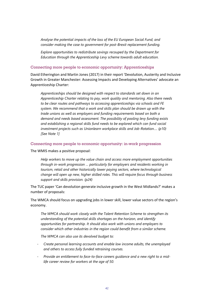*Analyse the potential impacts of the loss of the EU European Social Fund, and consider making the case to government for post-Brexit replacement funding.* 

*Explore opportunities to redistribute savings recouped by the Department for Education through the Apprenticeship Levy scheme towards adult education.* 

#### Connecting more people to economic opportunity: Apprenticeships

David Etherington and Martin Jones (2017) in their report 'Devolution, Austerity and Inclusive Growth in Greater Manchester: Assessing Impacts and Developing Alternatives' advocate an Apprenticeship Charter:

*Apprenticeships should be designed with respect to standards set down in an Apprenticeship Charter relating to pay, work quality and mentoring. Also there needs to be clear routes and pathways to accessing apprenticeships via schools and FE system. We recommend that a work and skills plan should be drawn up with the trade unions as well as employers and funding requirements based on both a demand and needs based assessment. The possibility of pooling levy funding exists and establishing a regional skills fund needs to be explored which can fund social investment projects such as Unionlearn workplace skills and Job-Rotation…. (p10) [See Note 1]*

#### Connecting more people to economic opportunity: in-work progression

The WMIS makes a positive proposal:

*Help workers to move up the value chain and access more employment opportunities through in-work progression … particularly for employers and residents working in tourism, retail and other historically lower paying sectors, where technological change will open up new, higher skilled roles. This will require focus through business support and skills provision. (p24)* 

The TUC paper 'Can devolution generate inclusive growth in the West Midlands?' makes a number of proposals:

The WMCA should focus on upgrading jobs in lower skill, lower value sectors of the region's economy.

*The WMCA should work closely with the Talent Retention Scheme to strengthen its understanding of the potential skills shortages on the horizon, and identify opportunities for partnership. It should also work with unions and employers to consider which other industries in the region could benefit from a similar scheme.* 

*The WMCA can also use its devolved budget to:*

- *Create personal learning accounts and enable low income adults, the unemployed and others to access fully funded retraining courses.*
- *Provide an entitlement to face-to-face careers guidance and a new right to a midlife career review for workers at the age of 50.*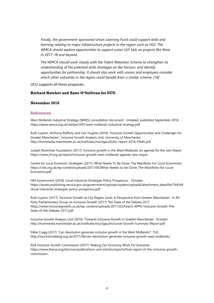*Finally, the government-sponsored Union Learning Fund could support skills and learning relating to major infrastructure projects in the region such as HS2. The WMCA should explore opportunities to support union ULF bids on projects like these in 2017-18 and beyond.* 

*The WMCA should work closely with the Talent Retention Scheme to strengthen its understanding of the potential skills shortages on the horizon, and identify opportunities for partnership. It should also work with unions and employers consider which other industries in the region could benefit from a similar scheme. [18]*

UCU supports all these proposals.

#### **Richard Hatcher and Anne O'Sullivan for UCU.**

#### **November 2018**

#### References

West Midlands Industrial Strategy (WMIS) consultation document. Undated, published September 2018. <https://www.wmca.org.uk/media/2591/west-midlands-industrial-strategy.pdf>

Ruth Lupton, Anthony Rafferty and Ceri Hughes (2016) 'Inclusive Growth Opportunities and Challenges for Greater Manchester', Inclusive Growth Analysis Unit, University of Manchester. <http://hummedia.manchester.ac.uk/institutes/mui/igau/IGAU-report-2016-FINAL.pdf>

Joseph Rowntree Foundation (2017) 'Inclusive growth in the West Midlands: an agenda for the new Mayor'. <https://www.jrf.org.uk/report/inclusive-growth-west-midlands-agenda-new-mayor>

Centre for Local Economic Strategies (2017) 'What Needs To Be Done: The Manifesto For Local Economies'. [https://cles.org.uk/wp-content/uploads/2017/05/What-Needs-to-be-Done\\_The-Manifesto-for-Local-](https://cles.org.uk/wp-content/uploads/2017/05/What-Needs-to-be-Done_The-Manifesto-for-Local-Economics.pdf)[Economics.pdf](https://cles.org.uk/wp-content/uploads/2017/05/What-Needs-to-be-Done_The-Manifesto-for-Local-Economics.pdf)

HM Government (2018) 'Local Industrial Strategies Policy Prospectus'. October. [https://assets.publishing.service.gov.uk/government/uploads/system/uploads/attachment\\_data/file/744544](https://assets.publishing.service.gov.uk/government/uploads/system/uploads/attachment_data/file/744544/local-industrial-strategies-policy-prospectus.pdf) [/local-industrial-strategies-policy-prospectus.pdf](https://assets.publishing.service.gov.uk/government/uploads/system/uploads/attachment_data/file/744544/local-industrial-strategies-policy-prospectus.pdf)

Ruth Lupton (2017) 'Inclusive Growth at City Region Level: A Perspective from Greater Manchester'. In All-Party Parliamentary Group on Inclusive Growth (2017) The State of the Debate 2017. [https://www.inclusivegrowth.co.uk/wp-content/uploads/2017/02/Final.5-APPG-Inclusive-Growth-The-](https://www.inclusivegrowth.co.uk/wp-content/uploads/2017/02/Final.5-APPG-Inclusive-Growth-The-State-of-the-Debate-2017.pdf)[State-of-the-Debate-2017.pdf](https://www.inclusivegrowth.co.uk/wp-content/uploads/2017/02/Final.5-APPG-Inclusive-Growth-The-State-of-the-Debate-2017.pdf)

Inclusive Growth Analysis Unit (2016) 'Towards Inclusive Growth in Greater Manchester'. October. <http://hummedia.manchester.ac.uk/institutes/mui/igau/Inclusive-Growth-Summary-Report.pdf>

Silkie Cragg (2017) 'Can devolution generate inclusive growth in the West Midlands?'. TUC. <http://touchstoneblog.org.uk/2017/06/can-devolution-generate-inclusive-growth-west-midlands/>

RSA Inclusive Growth Commission (2017) 'Making Our Economy Work For Everyone'. [https://www.thersa.org/discover/publications-and-articles/reports/final-report-of-the-inclusive-growth](https://www.thersa.org/discover/publications-and-articles/reports/final-report-of-the-inclusive-growth-commission)[commission](https://www.thersa.org/discover/publications-and-articles/reports/final-report-of-the-inclusive-growth-commission)